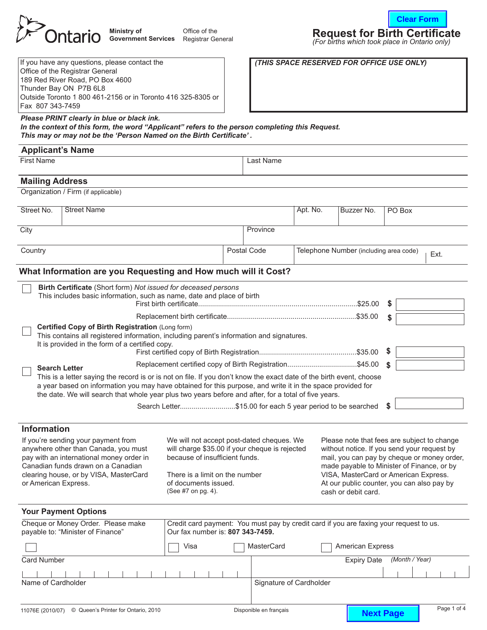

*Please PRINT clearly in blue or black ink.*

*In the context of this form, the word "Applicant" refers to the person completing this Request.* 

| Ministry of                                  | Office of the | <b>Request for Birth Certificate</b>                             |
|----------------------------------------------|---------------|------------------------------------------------------------------|
| <b>Government Services</b> Registrar General |               | $(For birth \, which \, took \, place \, in \, Ontario \, only)$ |

*(For births which took place in Ontario only)*

**Clear Form**

| If you have any questions, please contact the                |
|--------------------------------------------------------------|
| Office of the Registrar General                              |
| 189 Red River Road, PO Box 4600                              |
| Thunder Bay ON P7B 6L8                                       |
| Outside Toronto 1 800 461-2156 or in Toronto 416 325-8305 or |
| Fax 807 343-7459                                             |

**(THIS SPACE RESERVED FOR OFFICE USE ONLY)** 

# This may or may not be the 'Person Named on the Birth Certificate'.

| <b>First Name</b>      |                                                                                                                                                                                                                    |                                                         | Last Name   |                                                |            |        |  |
|------------------------|--------------------------------------------------------------------------------------------------------------------------------------------------------------------------------------------------------------------|---------------------------------------------------------|-------------|------------------------------------------------|------------|--------|--|
|                        |                                                                                                                                                                                                                    |                                                         |             |                                                |            |        |  |
| <b>Mailing Address</b> |                                                                                                                                                                                                                    |                                                         |             |                                                |            |        |  |
|                        | Organization / Firm (if applicable)                                                                                                                                                                                |                                                         |             |                                                |            |        |  |
| Street No.             | <b>Street Name</b>                                                                                                                                                                                                 |                                                         |             | Apt. No.                                       | Buzzer No. | PO Box |  |
| City                   |                                                                                                                                                                                                                    |                                                         | Province    |                                                |            |        |  |
|                        |                                                                                                                                                                                                                    |                                                         |             |                                                |            |        |  |
| Country                |                                                                                                                                                                                                                    |                                                         | Postal Code | Telephone Number (including area code)<br>Ext. |            |        |  |
|                        |                                                                                                                                                                                                                    |                                                         |             |                                                |            |        |  |
|                        | What Information are you Requesting and How much will it Cost?                                                                                                                                                     |                                                         |             |                                                |            |        |  |
|                        | Birth Certificate (Short form) Not issued for deceased persons                                                                                                                                                     |                                                         |             |                                                |            |        |  |
|                        | This includes basic information, such as name, date and place of birth                                                                                                                                             |                                                         |             |                                                |            |        |  |
|                        |                                                                                                                                                                                                                    |                                                         |             |                                                |            | Ŝ.     |  |
|                        | Certified Copy of Birth Registration (Long form)                                                                                                                                                                   |                                                         |             |                                                |            | \$     |  |
|                        | This contains all registered information, including parent's information and signatures.                                                                                                                           |                                                         |             |                                                |            |        |  |
|                        | It is provided in the form of a certified copy.                                                                                                                                                                    |                                                         |             |                                                |            | - 5    |  |
|                        |                                                                                                                                                                                                                    | Replacement certified copy of Birth Registration\$45.00 |             |                                                |            | \$.    |  |
|                        | <b>Search Letter</b><br>This is a letter saying the record is or is not on file. If you don't know the exact date of the birth event, choose                                                                       |                                                         |             |                                                |            |        |  |
|                        | a year based on information you may have obtained for this purpose, and write it in the space provided for<br>the date. We will search that whole year plus two years before and after, for a total of five years. |                                                         |             |                                                |            |        |  |

#### **Information**

If you're sending your payment from anywhere other than Canada, you must pay with an international money order in Canadian funds drawn on a Canadian clearing house, or by VISA, MasterCard or American Express.

We will not accept post-dated cheques. We will charge \$35.00 if your cheque is rejected because of insufficient funds.

There is a limit on the number of documents issued. (See #7 on pg. 4).

Please note that fees are subject to change without notice. If you send your request by mail, you can pay by cheque or money order, made payable to Minister of Finance, or by VISA, MasterCard or American Express. At our public counter, you can also pay by cash or debit card.

#### **Your Payment Options**

| Cheque or Money Order. Please make<br>payable to: "Minister of Finance" | Credit card payment: You must pay by credit card if you are faxing your request to us.<br>Our fax number is: 807 343-7459. |                                       |                         |                    |                |  |  |  |
|-------------------------------------------------------------------------|----------------------------------------------------------------------------------------------------------------------------|---------------------------------------|-------------------------|--------------------|----------------|--|--|--|
|                                                                         | Visa                                                                                                                       | MasterCard<br><b>American Express</b> |                         |                    |                |  |  |  |
| <b>Card Number</b>                                                      |                                                                                                                            |                                       |                         | <b>Expiry Date</b> | (Month / Year) |  |  |  |
|                                                                         |                                                                                                                            |                                       |                         |                    |                |  |  |  |
| Name of Cardholder                                                      |                                                                                                                            |                                       | Signature of Cardholder |                    |                |  |  |  |
|                                                                         |                                                                                                                            |                                       |                         |                    |                |  |  |  |
|                                                                         |                                                                                                                            |                                       |                         |                    |                |  |  |  |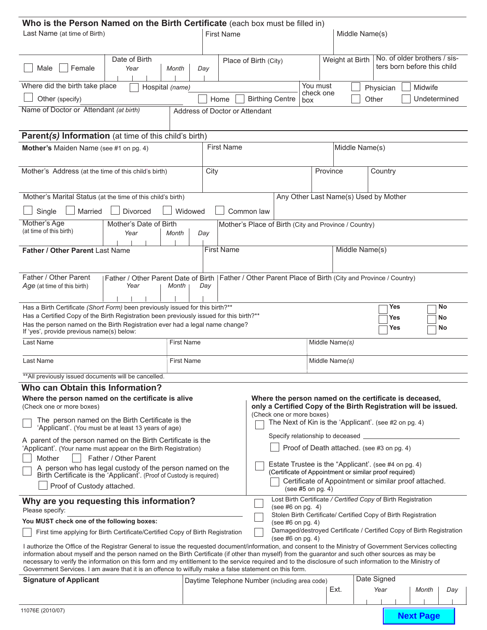| Who is the Person Named on the Birth Certificate (each box must be filled in)                                                                                                                                                                                      |                                                                                                          |                   |      |                                                                                                                 |                                                                                              |                   |                                                                      |                |            |                              |     |
|--------------------------------------------------------------------------------------------------------------------------------------------------------------------------------------------------------------------------------------------------------------------|----------------------------------------------------------------------------------------------------------|-------------------|------|-----------------------------------------------------------------------------------------------------------------|----------------------------------------------------------------------------------------------|-------------------|----------------------------------------------------------------------|----------------|------------|------------------------------|-----|
| Last Name (at time of Birth)                                                                                                                                                                                                                                       | <b>First Name</b>                                                                                        |                   |      | Middle Name(s)                                                                                                  |                                                                                              |                   |                                                                      |                |            |                              |     |
|                                                                                                                                                                                                                                                                    |                                                                                                          |                   |      |                                                                                                                 |                                                                                              |                   |                                                                      |                |            |                              |     |
|                                                                                                                                                                                                                                                                    | Date of Birth                                                                                            |                   |      |                                                                                                                 | Place of Birth (City)                                                                        |                   | Weight at Birth                                                      |                |            | No. of older brothers / sis- |     |
| Female<br>Male                                                                                                                                                                                                                                                     | Year                                                                                                     | Month             | Day  |                                                                                                                 |                                                                                              |                   |                                                                      |                |            | ters born before this child  |     |
|                                                                                                                                                                                                                                                                    |                                                                                                          |                   |      |                                                                                                                 |                                                                                              |                   |                                                                      |                |            |                              |     |
| Where did the birth take place                                                                                                                                                                                                                                     | Hospital (name)                                                                                          |                   |      |                                                                                                                 |                                                                                              | You must          | check one                                                            | Physician      |            | Midwife                      |     |
| Other (specify)                                                                                                                                                                                                                                                    |                                                                                                          |                   |      | Home                                                                                                            | <b>Birthing Centre</b>                                                                       | box               |                                                                      | Other          |            | Undetermined                 |     |
| Name of Doctor or Attendant (at birth)                                                                                                                                                                                                                             |                                                                                                          |                   |      | Address of Doctor or Attendant                                                                                  |                                                                                              |                   |                                                                      |                |            |                              |     |
|                                                                                                                                                                                                                                                                    |                                                                                                          |                   |      |                                                                                                                 |                                                                                              |                   |                                                                      |                |            |                              |     |
| Parent(s) Information (at time of this child's birth)                                                                                                                                                                                                              |                                                                                                          |                   |      |                                                                                                                 |                                                                                              |                   |                                                                      |                |            |                              |     |
| <b>Mother's</b> Maiden Name (see #1 on pg. 4)                                                                                                                                                                                                                      |                                                                                                          |                   |      | <b>First Name</b>                                                                                               |                                                                                              |                   |                                                                      | Middle Name(s) |            |                              |     |
|                                                                                                                                                                                                                                                                    |                                                                                                          |                   |      |                                                                                                                 |                                                                                              |                   |                                                                      |                |            |                              |     |
| Mother's Address (at the time of this child's birth)                                                                                                                                                                                                               |                                                                                                          |                   | City |                                                                                                                 |                                                                                              |                   | Province                                                             |                | Country    |                              |     |
|                                                                                                                                                                                                                                                                    |                                                                                                          |                   |      |                                                                                                                 |                                                                                              |                   |                                                                      |                |            |                              |     |
|                                                                                                                                                                                                                                                                    |                                                                                                          |                   |      |                                                                                                                 |                                                                                              |                   |                                                                      |                |            |                              |     |
| Mother's Marital Status (at the time of this child's birth)                                                                                                                                                                                                        |                                                                                                          |                   |      |                                                                                                                 |                                                                                              |                   | Any Other Last Name(s) Used by Mother                                |                |            |                              |     |
| Single<br>Married                                                                                                                                                                                                                                                  | Divorced                                                                                                 | Widowed           |      |                                                                                                                 | Common law                                                                                   |                   |                                                                      |                |            |                              |     |
| Mother's Age                                                                                                                                                                                                                                                       | Mother's Date of Birth                                                                                   |                   |      |                                                                                                                 | Mother's Place of Birth (City and Province / Country)                                        |                   |                                                                      |                |            |                              |     |
| (at time of this birth)                                                                                                                                                                                                                                            | Year                                                                                                     | Month             | Day  |                                                                                                                 |                                                                                              |                   |                                                                      |                |            |                              |     |
|                                                                                                                                                                                                                                                                    |                                                                                                          |                   |      | <b>First Name</b>                                                                                               |                                                                                              |                   |                                                                      | Middle Name(s) |            |                              |     |
| Father / Other Parent Last Name                                                                                                                                                                                                                                    |                                                                                                          |                   |      |                                                                                                                 |                                                                                              |                   |                                                                      |                |            |                              |     |
|                                                                                                                                                                                                                                                                    |                                                                                                          |                   |      |                                                                                                                 |                                                                                              |                   |                                                                      |                |            |                              |     |
| Father / Other Parent                                                                                                                                                                                                                                              | Father / Other Parent Date of Birth   Father / Other Parent Place of Birth (City and Province / Country) |                   |      |                                                                                                                 |                                                                                              |                   |                                                                      |                |            |                              |     |
| Age (at time of this birth)                                                                                                                                                                                                                                        | Year                                                                                                     | Month             | Day  |                                                                                                                 |                                                                                              |                   |                                                                      |                |            |                              |     |
|                                                                                                                                                                                                                                                                    |                                                                                                          |                   |      |                                                                                                                 |                                                                                              |                   |                                                                      |                |            |                              |     |
| Has a Birth Certificate (Short Form) been previously issued for this birth?**<br>Has a Certified Copy of the Birth Registration been previously issued for this birth?**                                                                                           |                                                                                                          |                   |      |                                                                                                                 |                                                                                              |                   |                                                                      |                | <b>Yes</b> |                              | No  |
| Has the person named on the Birth Registration ever had a legal name change?                                                                                                                                                                                       |                                                                                                          |                   |      |                                                                                                                 |                                                                                              |                   |                                                                      |                | Yes        |                              | No  |
| If 'yes', provide previous name(s) below:                                                                                                                                                                                                                          |                                                                                                          |                   |      |                                                                                                                 |                                                                                              |                   |                                                                      |                | Yes        |                              | No  |
| Last Name                                                                                                                                                                                                                                                          |                                                                                                          | <b>First Name</b> |      |                                                                                                                 |                                                                                              |                   | Middle Name(s)                                                       |                |            |                              |     |
| Last Name                                                                                                                                                                                                                                                          |                                                                                                          | <b>First Name</b> |      |                                                                                                                 |                                                                                              |                   | Middle Name(s)                                                       |                |            |                              |     |
|                                                                                                                                                                                                                                                                    |                                                                                                          |                   |      |                                                                                                                 |                                                                                              |                   |                                                                      |                |            |                              |     |
| ** All previously issued documents will be cancelled.                                                                                                                                                                                                              |                                                                                                          |                   |      |                                                                                                                 |                                                                                              |                   |                                                                      |                |            |                              |     |
| Who can Obtain this Information?                                                                                                                                                                                                                                   |                                                                                                          |                   |      |                                                                                                                 |                                                                                              |                   |                                                                      |                |            |                              |     |
| Where the person named on the certificate is alive                                                                                                                                                                                                                 |                                                                                                          |                   |      |                                                                                                                 | Where the person named on the certificate is deceased,                                       |                   |                                                                      |                |            |                              |     |
| (Check one or more boxes)                                                                                                                                                                                                                                          |                                                                                                          |                   |      |                                                                                                                 | only a Certified Copy of the Birth Registration will be issued.<br>(Check one or more boxes) |                   |                                                                      |                |            |                              |     |
| The person named on the Birth Certificate is the                                                                                                                                                                                                                   |                                                                                                          |                   |      |                                                                                                                 |                                                                                              |                   | The Next of Kin is the 'Applicant'. (see #2 on pg. 4)                |                |            |                              |     |
| 'Applicant'. (You must be at least 13 years of age)                                                                                                                                                                                                                |                                                                                                          |                   |      |                                                                                                                 |                                                                                              |                   | Specify relationship to deceased                                     |                |            |                              |     |
| A parent of the person named on the Birth Certificate is the<br>'Applicant'. (Your name must appear on the Birth Registration)                                                                                                                                     |                                                                                                          |                   |      |                                                                                                                 |                                                                                              |                   | Proof of Death attached. (see #3 on pg. 4)                           |                |            |                              |     |
| Mother                                                                                                                                                                                                                                                             | Father / Other Parent                                                                                    |                   |      |                                                                                                                 |                                                                                              |                   |                                                                      |                |            |                              |     |
| A person who has legal custody of the person named on the                                                                                                                                                                                                          |                                                                                                          |                   |      |                                                                                                                 |                                                                                              |                   | Estate Trustee is the "Applicant'. (see #4 on pg. 4)                 |                |            |                              |     |
| Birth Certificate is the 'Applicant'. (Proof of Custody is required)                                                                                                                                                                                               |                                                                                                          |                   |      | (Certificate of Appointment or similar proof required)<br>Certificate of Appointment or similar proof attached. |                                                                                              |                   |                                                                      |                |            |                              |     |
| Proof of Custody attached.                                                                                                                                                                                                                                         |                                                                                                          |                   |      |                                                                                                                 |                                                                                              | (see #5 on pg. 4) |                                                                      |                |            |                              |     |
| Why are you requesting this information?                                                                                                                                                                                                                           |                                                                                                          |                   |      |                                                                                                                 |                                                                                              |                   | Lost Birth Certificate / Certified Copy of Birth Registration        |                |            |                              |     |
| Please specify:                                                                                                                                                                                                                                                    |                                                                                                          |                   |      |                                                                                                                 | (see #6 on pg. 4)                                                                            |                   | Stolen Birth Certificate/ Certified Copy of Birth Registration       |                |            |                              |     |
| You MUST check one of the following boxes:                                                                                                                                                                                                                         |                                                                                                          |                   |      |                                                                                                                 | (see #6 on pg. 4)                                                                            |                   |                                                                      |                |            |                              |     |
| First time applying for Birth Certificate/Certified Copy of Birth Registration                                                                                                                                                                                     |                                                                                                          |                   |      |                                                                                                                 |                                                                                              |                   | Damaged/destroyed Certificate / Certified Copy of Birth Registration |                |            |                              |     |
| I authorize the Office of the Registrar General to issue the requested document/information, and consent to the Ministry of Government Services collecting                                                                                                         |                                                                                                          |                   |      |                                                                                                                 | (see #6 on pg. 4)                                                                            |                   |                                                                      |                |            |                              |     |
| information about myself and the person named on the Birth Certificate (if other than myself) from the guarantor and such other sources as may be                                                                                                                  |                                                                                                          |                   |      |                                                                                                                 |                                                                                              |                   |                                                                      |                |            |                              |     |
| necessary to verify the information on this form and my entitlement to the service required and to the disclosure of such information to the Ministry of<br>Government Services. I am aware that it is an offence to wilfully make a false statement on this form. |                                                                                                          |                   |      |                                                                                                                 |                                                                                              |                   |                                                                      |                |            |                              |     |
| <b>Signature of Applicant</b>                                                                                                                                                                                                                                      |                                                                                                          |                   |      |                                                                                                                 | Daytime Telephone Number (including area code)                                               |                   |                                                                      | Date Signed    |            |                              |     |
|                                                                                                                                                                                                                                                                    |                                                                                                          |                   |      |                                                                                                                 |                                                                                              |                   | Ext.                                                                 | Year           |            | Month                        | Day |
|                                                                                                                                                                                                                                                                    |                                                                                                          |                   |      |                                                                                                                 |                                                                                              |                   |                                                                      |                |            |                              |     |
| 107CT101010                                                                                                                                                                                                                                                        |                                                                                                          |                   |      |                                                                                                                 |                                                                                              |                   |                                                                      |                |            |                              |     |

**Next Page**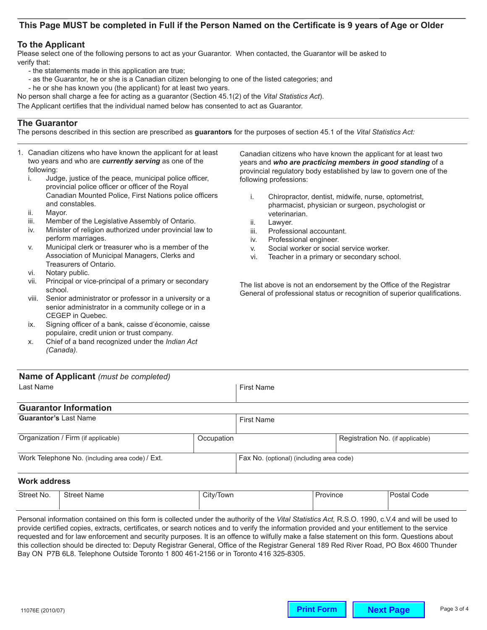# This Page MUST be completed in Full if the Person Named on the Certificate is 9 years of Age or Older

### **To the Applicant**

Please select one of the following persons to act as your Guarantor. When contacted, the Guarantor will be asked to verify that:

- the statements made in this application are true;
- as the Guarantor, he or she is a Canadian citizen belonging to one of the listed categories; and
- he or she has known you (the applicant) for at least two years.

No person shall charge a fee for acting as a guarantor (Section 45.1(2) of the *Vital Statistics Act*).

The Applicant certifies that the individual named below has consented to act as Guarantor.

# **The Guarantor**

The persons described in this section are prescribed as **guarantors** for the purposes of section 45.1 of the *Vital Statistics Act:* 

- 1. Canadian citizens who have known the applicant for at least two years and who are *currently serving* as one of the following:
	- i. Judge, justice of the peace, municipal police officer, provincial police officer or officer of the Royal Canadian Mounted Police, First Nations police officers and constables.
	- ii. Mayor.
	- iii. Member of the Legislative Assembly of Ontario.
	- iv. Minister of religion authorized under provincial law to perform marriages.
	- v. Municipal clerk or treasurer who is a member of the Association of Municipal Managers, Clerks and Treasurers of Ontario.
	- vi. Notary public.
	- vii. Principal or vice-principal of a primary or secondary school.
	- viii. Senior administrator or professor in a university or a senior administrator in a community college or in a CEGEP in Quebec.
	- ix. Signing officer of a bank, caisse d'économie, caisse populaire, credit union or trust company.
	- x. Chief of a band recognized under the *Indian Act (Canada).*

Canadian citizens who have known the applicant for at least two years and *who are practicing members in good standing* of a provincial regulatory body established by law to govern one of the following professions:

- i. Chiropractor, dentist, midwife, nurse, optometrist, pharmacist, physician or surgeon, psychologist or veterinarian.
- ii. Lawyer.
- iii. Professional accountant.
- iv. Professional engineer.
- v. Social worker or social service worker.
- vi. Teacher in a primary or secondary school.

The list above is not an endorsement by the Office of the Registrar General of professional status or recognition of superior qualifications.

| Name of Applicant (must be completed)           |            |                                          |                                  |  |
|-------------------------------------------------|------------|------------------------------------------|----------------------------------|--|
| Last Name                                       |            | <b>First Name</b>                        |                                  |  |
| <b>Guarantor Information</b>                    |            |                                          |                                  |  |
| <b>Guarantor's Last Name</b>                    |            | <b>First Name</b>                        |                                  |  |
| Organization / Firm (if applicable)             | Occupation |                                          | Registration No. (if applicable) |  |
| Work Telephone No. (including area code) / Ext. |            | Fax No. (optional) (including area code) |                                  |  |
|                                                 |            |                                          |                                  |  |

#### **Work address**

| Street No. | Name<br>street. | City/<br>Town | ovince | Code<br>าsta.<br>- - - - |
|------------|-----------------|---------------|--------|--------------------------|
|            |                 |               |        |                          |

Personal information contained on this form is collected under the authority of the *Vital Statistics Act,* R.S.O. 1990, c.V.4 and will be used to provide certified copies, extracts, certificates, or search notices and to verify the information provided and your entitlement to the service requested and for law enforcement and security purposes. It is an offence to wilfully make a false statement on this form. Questions about this collection should be directed to: Deputy Registrar General, Office of the Registrar General 189 Red River Road, PO Box 4600 Thunder Bay ON P7B 6L8. Telephone Outside Toronto 1 800 461-2156 or in Toronto 416 325-8305.